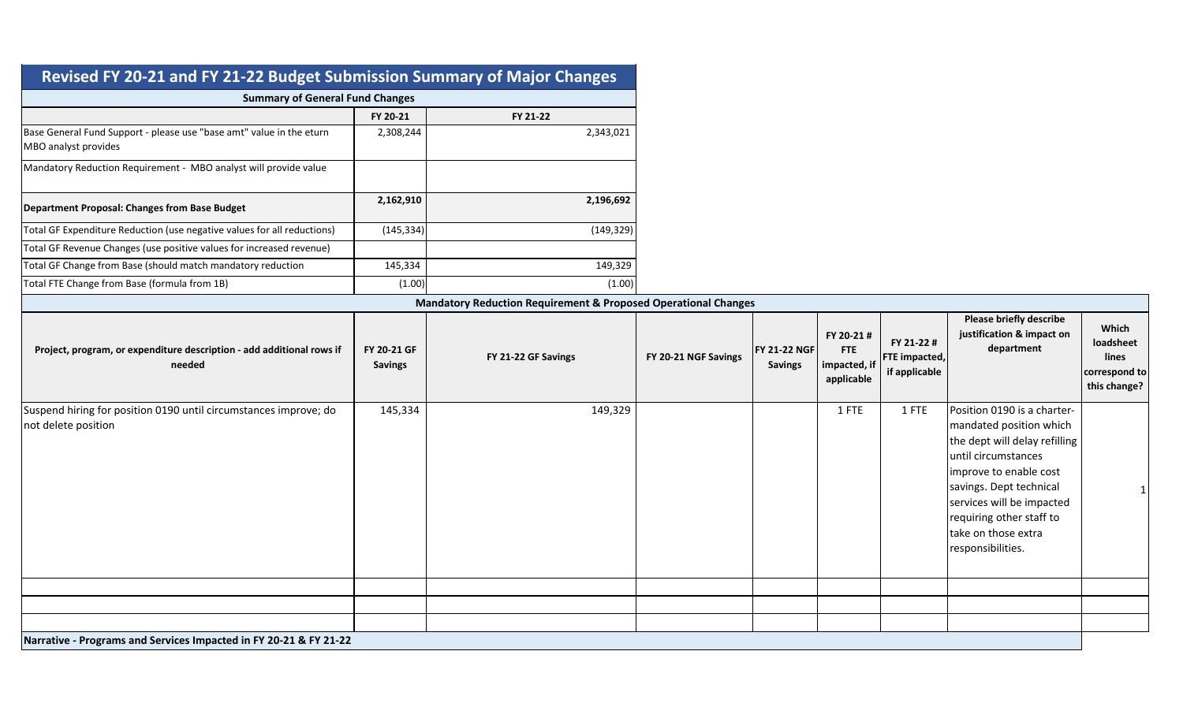| Revised FY 20-21 and FY 21-22 Budget Submission Summary of Major Changes                     |                               |                     |                      |                                       |                                                        |                                                     |                                                                                                                                                                                                                                                                          |                                                              |
|----------------------------------------------------------------------------------------------|-------------------------------|---------------------|----------------------|---------------------------------------|--------------------------------------------------------|-----------------------------------------------------|--------------------------------------------------------------------------------------------------------------------------------------------------------------------------------------------------------------------------------------------------------------------------|--------------------------------------------------------------|
| <b>Summary of General Fund Changes</b>                                                       |                               |                     |                      |                                       |                                                        |                                                     |                                                                                                                                                                                                                                                                          |                                                              |
|                                                                                              | FY 20-21                      | FY 21-22            |                      |                                       |                                                        |                                                     |                                                                                                                                                                                                                                                                          |                                                              |
| Base General Fund Support - please use "base amt" value in the eturn<br>MBO analyst provides | 2,308,244                     | 2,343,021           |                      |                                       |                                                        |                                                     |                                                                                                                                                                                                                                                                          |                                                              |
| Mandatory Reduction Requirement - MBO analyst will provide value                             |                               |                     |                      |                                       |                                                        |                                                     |                                                                                                                                                                                                                                                                          |                                                              |
| Department Proposal: Changes from Base Budget                                                | 2,162,910                     | 2,196,692           |                      |                                       |                                                        |                                                     |                                                                                                                                                                                                                                                                          |                                                              |
| Total GF Expenditure Reduction (use negative values for all reductions)                      | (145, 334)                    | (149, 329)          |                      |                                       |                                                        |                                                     |                                                                                                                                                                                                                                                                          |                                                              |
| Total GF Revenue Changes (use positive values for increased revenue)                         |                               |                     |                      |                                       |                                                        |                                                     |                                                                                                                                                                                                                                                                          |                                                              |
| Total GF Change from Base (should match mandatory reduction                                  | 145,334                       | 149,329             |                      |                                       |                                                        |                                                     |                                                                                                                                                                                                                                                                          |                                                              |
| Total FTE Change from Base (formula from 1B)                                                 | (1.00)                        | (1.00)              |                      |                                       |                                                        |                                                     |                                                                                                                                                                                                                                                                          |                                                              |
| <b>Mandatory Reduction Requirement &amp; Proposed Operational Changes</b>                    |                               |                     |                      |                                       |                                                        |                                                     |                                                                                                                                                                                                                                                                          |                                                              |
| Project, program, or expenditure description - add additional rows if<br>needed              | FY 20-21 GF<br><b>Savings</b> | FY 21-22 GF Savings | FY 20-21 NGF Savings | <b>FY 21-22 NGF</b><br><b>Savings</b> | FY 20-21 #<br><b>FTE</b><br>impacted, if<br>applicable | FY 21-22 #<br><b>FTE</b> impacted,<br>if applicable | Please briefly describe<br>justification & impact on<br>department                                                                                                                                                                                                       | Which<br>loadsheet<br>lines<br>correspond to<br>this change? |
| Suspend hiring for position 0190 until circumstances improve; do<br>not delete position      | 145,334                       | 149,329             |                      |                                       | 1 FTE                                                  | 1 FTE                                               | Position 0190 is a charter-<br>mandated position which<br>the dept will delay refilling<br>until circumstances<br>improve to enable cost<br>savings. Dept technical<br>services will be impacted<br>requiring other staff to<br>take on those extra<br>responsibilities. | 1                                                            |
| Narrative - Programs and Services Impacted in FY 20-21 & FY 21-22                            |                               |                     |                      |                                       |                                                        |                                                     |                                                                                                                                                                                                                                                                          |                                                              |